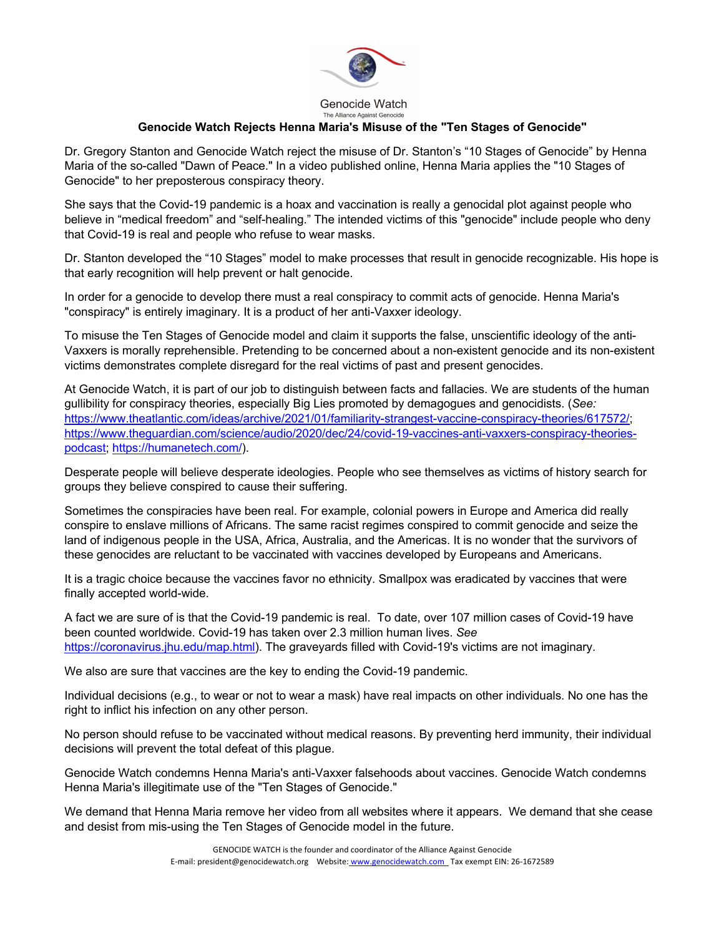

Genocide Watch The Alliance Against Genocide

## **Genocide Watch Rejects Henna Maria's Misuse of the "Ten Stages of Genocide"**

Dr. Gregory Stanton and Genocide Watch reject the misuse of Dr. Stanton's "10 Stages of Genocide" by Henna Maria of the so-called "Dawn of Peace." In a video published online, Henna Maria applies the "10 Stages of Genocide" to her preposterous conspiracy theory.

She says that the Covid-19 pandemic is a hoax and vaccination is really a genocidal plot against people who believe in "medical freedom" and "self-healing." The intended victims of this "genocide" include people who deny that Covid-19 is real and people who refuse to wear masks.

Dr. Stanton developed the "10 Stages" model to make processes that result in genocide recognizable. His hope is that early recognition will help prevent or halt genocide.

In order for a genocide to develop there must a real conspiracy to commit acts of genocide. Henna Maria's "conspiracy" is entirely imaginary. It is a product of her anti-Vaxxer ideology.

To misuse the Ten Stages of Genocide model and claim it supports the false, unscientific ideology of the anti-Vaxxers is morally reprehensible. Pretending to be concerned about a non-existent genocide and its non-existent victims demonstrates complete disregard for the real victims of past and present genocides.

At Genocide Watch, it is part of our job to distinguish between facts and fallacies. We are students of the human gullibility for conspiracy theories, especially Big Lies promoted by demagogues and genocidists. (*See:* https://www.theatlantic.com/ideas/archive/2021/01/familiarity-strangest-vaccine-conspiracy-theories/617572/; https://www.theguardian.com/science/audio/2020/dec/24/covid-19-vaccines-anti-vaxxers-conspiracy-theoriespodcast; https://humanetech.com/).

Desperate people will believe desperate ideologies. People who see themselves as victims of history search for groups they believe conspired to cause their suffering.

Sometimes the conspiracies have been real. For example, colonial powers in Europe and America did really conspire to enslave millions of Africans. The same racist regimes conspired to commit genocide and seize the land of indigenous people in the USA, Africa, Australia, and the Americas. It is no wonder that the survivors of these genocides are reluctant to be vaccinated with vaccines developed by Europeans and Americans.

It is a tragic choice because the vaccines favor no ethnicity. Smallpox was eradicated by vaccines that were finally accepted world-wide.

A fact we are sure of is that the Covid-19 pandemic is real. To date, over 107 million cases of Covid-19 have been counted worldwide. Covid-19 has taken over 2.3 million human lives. *See* https://coronavirus.jhu.edu/map.html). The graveyards filled with Covid-19's victims are not imaginary.

We also are sure that vaccines are the key to ending the Covid-19 pandemic.

Individual decisions (e.g., to wear or not to wear a mask) have real impacts on other individuals. No one has the right to inflict his infection on any other person.

No person should refuse to be vaccinated without medical reasons. By preventing herd immunity, their individual decisions will prevent the total defeat of this plague.

Genocide Watch condemns Henna Maria's anti-Vaxxer falsehoods about vaccines. Genocide Watch condemns Henna Maria's illegitimate use of the "Ten Stages of Genocide."

We demand that Henna Maria remove her video from all websites where it appears. We demand that she cease and desist from mis-using the Ten Stages of Genocide model in the future.